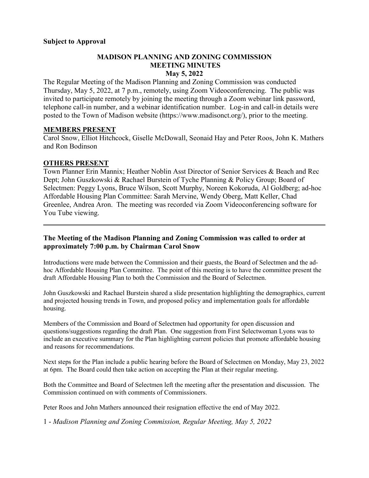### **MADISON PLANNING AND ZONING COMMISSION MEETING MINUTES May 5, 2022**

The Regular Meeting of the Madison Planning and Zoning Commission was conducted Thursday, May 5, 2022, at 7 p.m., remotely, using Zoom Videoconferencing. The public was invited to participate remotely by joining the meeting through a Zoom webinar link password, telephone call-in number, and a webinar identification number. Log-in and call-in details were posted to the Town of Madison website [\(https://www.madisonct.org/\)](https://www.madisonct.org/), prior to the meeting.

### **MEMBERS PRESENT**

Carol Snow, Elliot Hitchcock, Giselle McDowall, Seonaid Hay and Peter Roos, John K. Mathers and Ron Bodinson

### **OTHERS PRESENT**

Town Planner Erin Mannix; Heather Noblin Asst Director of Senior Services & Beach and Rec Dept; John Guszkowski & Rachael Burstein of Tyche Planning & Policy Group; Board of Selectmen: Peggy Lyons, Bruce Wilson, Scott Murphy, Noreen Kokoruda, Al Goldberg; ad-hoc Affordable Housing Plan Committee: Sarah Mervine, Wendy Oberg, Matt Keller, Chad Greenlee, Andrea Aron. The meeting was recorded via Zoom Videoconferencing software for You Tube viewing.

 $\mathcal{L}_\mathcal{L} = \mathcal{L}_\mathcal{L} = \mathcal{L}_\mathcal{L} = \mathcal{L}_\mathcal{L} = \mathcal{L}_\mathcal{L} = \mathcal{L}_\mathcal{L} = \mathcal{L}_\mathcal{L} = \mathcal{L}_\mathcal{L} = \mathcal{L}_\mathcal{L} = \mathcal{L}_\mathcal{L} = \mathcal{L}_\mathcal{L} = \mathcal{L}_\mathcal{L} = \mathcal{L}_\mathcal{L} = \mathcal{L}_\mathcal{L} = \mathcal{L}_\mathcal{L} = \mathcal{L}_\mathcal{L} = \mathcal{L}_\mathcal{L}$ 

## **The Meeting of the Madison Planning and Zoning Commission was called to order at approximately 7:00 p.m. by Chairman Carol Snow**

Introductions were made between the Commission and their guests, the Board of Selectmen and the adhoc Affordable Housing Plan Committee. The point of this meeting is to have the committee present the draft Affordable Housing Plan to both the Commission and the Board of Selectmen.

John Guszkowski and Rachael Burstein shared a slide presentation highlighting the demographics, current and projected housing trends in Town, and proposed policy and implementation goals for affordable housing.

Members of the Commission and Board of Selectmen had opportunity for open discussion and questions/suggestions regarding the draft Plan. One suggestion from First Selectwoman Lyons was to include an executive summary for the Plan highlighting current policies that promote affordable housing and reasons for recommendations.

Next steps for the Plan include a public hearing before the Board of Selectmen on Monday, May 23, 2022 at 6pm. The Board could then take action on accepting the Plan at their regular meeting.

Both the Committee and Board of Selectmen left the meeting after the presentation and discussion. The Commission continued on with comments of Commissioners.

Peter Roos and John Mathers announced their resignation effective the end of May 2022.

1 - *Madison Planning and Zoning Commission, Regular Meeting, May 5, 2022*